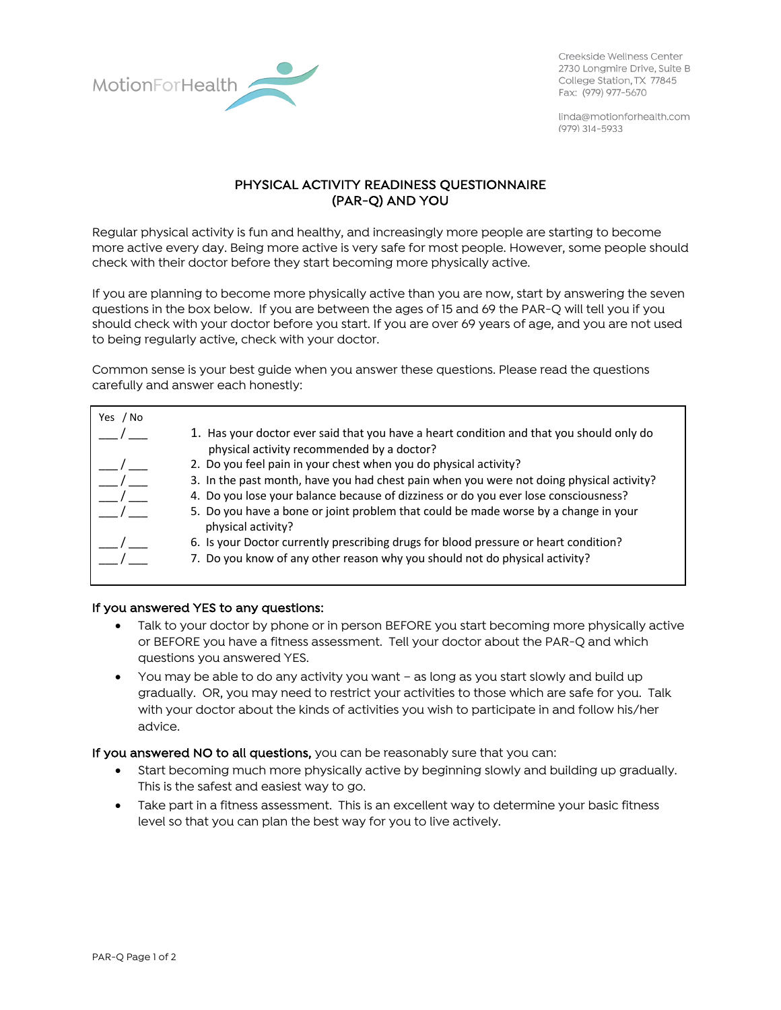

Creekside Wellness Center 2730 Longmire Drive, Suite B College Station, TX 77845 Fax: (979) 977-5670

linda@motionforhealth.com  $(979)$  314-5933

## PHYSICAL ACTIVITY READINESS QUESTIONNAIRE (PAR-Q) AND YOU

Regular physical activity is fun and healthy, and increasingly more people are starting to become more active every day. Being more active is very safe for most people. However, some people should check with their doctor before they start becoming more physically active.

If you are planning to become more physically active than you are now, start by answering the seven questions in the box below. If you are between the ages of 15 and 69 the PAR-Q will tell you if you should check with your doctor before you start. If you are over 69 years of age, and you are not used to being regularly active, check with your doctor.

Common sense is your best guide when you answer these questions. Please read the questions carefully and answer each honestly:

| Yes / No |                                                                                                                                        |
|----------|----------------------------------------------------------------------------------------------------------------------------------------|
|          | 1. Has your doctor ever said that you have a heart condition and that you should only do<br>physical activity recommended by a doctor? |
|          | 2. Do you feel pain in your chest when you do physical activity?                                                                       |
|          | 3. In the past month, have you had chest pain when you were not doing physical activity?                                               |
|          | 4. Do you lose your balance because of dizziness or do you ever lose consciousness?                                                    |
|          | 5. Do you have a bone or joint problem that could be made worse by a change in your<br>physical activity?                              |
|          | 6. Is your Doctor currently prescribing drugs for blood pressure or heart condition?                                                   |
|          | 7. Do you know of any other reason why you should not do physical activity?                                                            |
|          |                                                                                                                                        |

## If you answered YES to any questions:

- Talk to your doctor by phone or in person BEFORE you start becoming more physically active or BEFORE you have a fitness assessment. Tell your doctor about the PAR-Q and which questions you answered YES.
- You may be able to do any activity you want as long as you start slowly and build up gradually. OR, you may need to restrict your activities to those which are safe for you. Talk with your doctor about the kinds of activities you wish to participate in and follow his/her advice.

If you answered NO to all questions, you can be reasonably sure that you can:

- Start becoming much more physically active by beginning slowly and building up gradually. This is the safest and easiest way to go.
- Take part in a fitness assessment. This is an excellent way to determine your basic fitness level so that you can plan the best way for you to live actively.